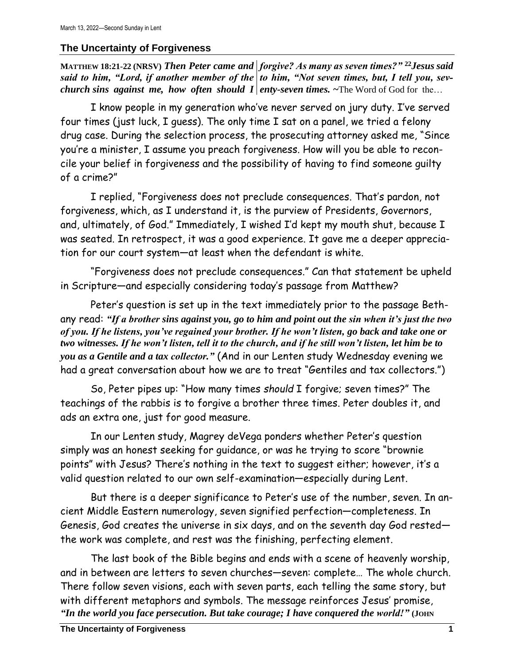## **The Uncertainty of Forgiveness**

**MATTHEW 18:21-22 (NRSV)** *Then Peter came and forgive? As many as seven times?"* **<sup>22</sup>***Jesus said*  said to him, "Lord, if another member of the | to him, "Not seven times, but, I tell you, sev*church sins against me, how often should I enty-seven times.* ~The Word of God for the...

I know people in my generation who've never served on jury duty. I've served four times (just luck, I guess). The only time I sat on a panel, we tried a felony drug case. During the selection process, the prosecuting attorney asked me, "Since you're a minister, I assume you preach forgiveness. How will you be able to reconcile your belief in forgiveness and the possibility of having to find someone guilty of a crime?"

I replied, "Forgiveness does not preclude consequences. That's pardon, not forgiveness, which, as I understand it, is the purview of Presidents, Governors, and, ultimately, of God." Immediately, I wished I'd kept my mouth shut, because I was seated. In retrospect, it was a good experience. It gave me a deeper appreciation for our court system—at least when the defendant is white.

"Forgiveness does not preclude consequences." Can that statement be upheld in Scripture—and especially considering today's passage from Matthew?

Peter's question is set up in the text immediately prior to the passage Bethany read: *"If a brother sins against you, go to him and point out the sin when it's just the two of you. If he listens, you've regained your brother. If he won't listen, go back and take one or two witnesses. If he won't listen, tell it to the church, and if he still won't listen, let him be to you as a Gentile and a tax collector."* (And in our Lenten study Wednesday evening we had a great conversation about how we are to treat "Gentiles and tax collectors.")

So, Peter pipes up: "How many times *should* I forgive; seven times?" The teachings of the rabbis is to forgive a brother three times. Peter doubles it, and ads an extra one, just for good measure.

In our Lenten study, Magrey deVega ponders whether Peter's question simply was an honest seeking for guidance, or was he trying to score "brownie points" with Jesus? There's nothing in the text to suggest either; however, it's a valid question related to our own self-examination—especially during Lent.

But there is a deeper significance to Peter's use of the number, seven. In ancient Middle Eastern numerology, seven signified perfection—completeness. In Genesis, God creates the universe in six days, and on the seventh day God rested the work was complete, and rest was the finishing, perfecting element.

The last book of the Bible begins and ends with a scene of heavenly worship, and in between are letters to seven churches—seven: complete… The whole church. There follow seven visions, each with seven parts, each telling the same story, but with different metaphors and symbols. The message reinforces Jesus' promise, *"In the world you face persecution. But take courage; I have conquered the world!"* **(JOHN**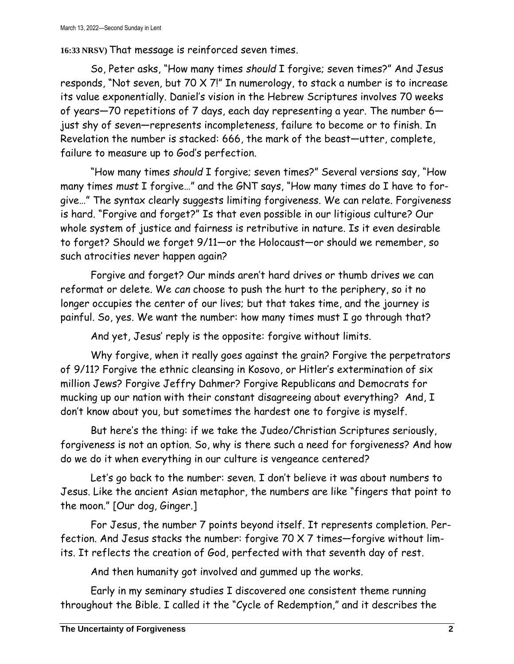**16:33 NRSV)** That message is reinforced seven times.

So, Peter asks, "How many times *should* I forgive; seven times?" And Jesus responds, "Not seven, but 70 X 7!" In numerology, to stack a number is to increase its value exponentially. Daniel's vision in the Hebrew Scriptures involves 70 weeks of years—70 repetitions of 7 days, each day representing a year. The number 6 just shy of seven—represents incompleteness, failure to become or to finish. In Revelation the number is stacked: 666, the mark of the beast—utter, complete, failure to measure up to God's perfection.

"How many times *should* I forgive; seven times?" Several versions say, "How many times *must* I forgive…" and the GNT says, "How many times do I have to forgive…" The syntax clearly suggests limiting forgiveness. We can relate. Forgiveness is hard. "Forgive and forget?" Is that even possible in our litigious culture? Our whole system of justice and fairness is retributive in nature. Is it even desirable to forget? Should we forget 9/11—or the Holocaust—or should we remember, so such atrocities never happen again?

Forgive and forget? Our minds aren't hard drives or thumb drives we can reformat or delete. We *can* choose to push the hurt to the periphery, so it no longer occupies the center of our lives; but that takes time, and the journey is painful. So, yes. We want the number: how many times must I go through that?

And yet, Jesus' reply is the opposite: forgive without limits.

Why forgive, when it really goes against the grain? Forgive the perpetrators of 9/11? Forgive the ethnic cleansing in Kosovo, or Hitler's extermination of six million Jews? Forgive Jeffry Dahmer? Forgive Republicans and Democrats for mucking up our nation with their constant disagreeing about everything? And, I don't know about you, but sometimes the hardest one to forgive is myself.

But here's the thing: if we take the Judeo/Christian Scriptures seriously, forgiveness is not an option. So, why is there such a need for forgiveness? And how do we do it when everything in our culture is vengeance centered?

Let's go back to the number: seven. I don't believe it was about numbers to Jesus. Like the ancient Asian metaphor, the numbers are like "fingers that point to the moon." [Our dog, Ginger.]

For Jesus, the number 7 points beyond itself. It represents completion. Perfection. And Jesus stacks the number: forgive 70 X 7 times—forgive without limits. It reflects the creation of God, perfected with that seventh day of rest.

And then humanity got involved and gummed up the works.

Early in my seminary studies I discovered one consistent theme running throughout the Bible. I called it the "Cycle of Redemption," and it describes the